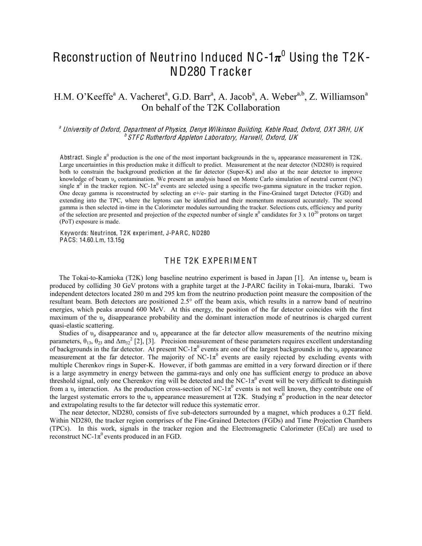# Reconstruction of Neutrino Induced NC-1 $\pi^0$  Using the T2K-ND280 T racker

# H.M. O'Keeffe<sup>a</sup> A. Vacheret<sup>a</sup>, G.D. Barr<sup>a</sup>, A. Jacob<sup>a</sup>, A. Weber<sup>a,b</sup>, Z. Williamson<sup>a</sup> On behalf of the T2K Collaboration

<sup>a</sup> University of Oxford, Department of Physics, Denys Wilkinson Building, Keble Road, Oxford, OX1 3RH, UK **b STFC Rutherford Appleton Laboratory, Harwell, Oxford, UK** 

Abstract. Single  $\pi^0$  production is the one of the most important backgrounds in the  $\nu_e$  appearance measurement in T2K. Large uncertainties in this production make it difficult to predict. Measurement at the near detector (ND280) is required both to constrain the background prediction at the far detector (Super-K) and also at the near detector to improve knowledge of beam  $v_e$  contamination. We present an analysis based on Monte Carlo simulation of neutral current (NC) single  $\pi^0$  in the tracker region. NC-1 $\pi^0$  events are selected using a specific two-gamma signature in the tracker region. One decay gamma is reconstructed by selecting an e+/e- pair starting in the Fine-Grained target Detector (FGD) and extending into the TPC, where the leptons can be identified and their momentum measured accurately. The second gamma is then selected in-time in the Calorimeter modules surrounding the tracker. Selections cuts, efficiency and purity of the selection are presented and projection of the expected number of single  $\pi^0$  candidates for 3 x 10<sup>20</sup> protons on target (PoT) exposure is made.

K eywords: Neutrinos, T2K experiment, J-PARC, ND280 PA CS: 14.60.Lm, 13.15g

#### THE T2K EXPERIMENT

The Tokai-to-Kamioka (T2K) long baseline neutrino experiment is based in Japan [1]. An intense  $v<sub>u</sub>$  beam is produced by colliding 30 GeV protons with a graphite target at the J-PARC facility in Tokai-mura, Ibaraki. Two independent detectors located 280 m and 295 km from the neutrino production point measure the composition of the resultant beam. Both detectors are positioned 2.5° off the beam axis, which results in a narrow band of neutrino energies, which peaks around 600 MeV. At this energy, the position of the far detector coincides with the first maximum of the  $v_{\mu}$  disappearance probability and the dominant interaction mode of neutrinos is charged current quasi-elastic scattering.

Studies of  $v_\mu$  disappearance and  $v_e$  appearance at the far detector allow measurements of the neutrino mixing parameters,  $\theta_{13}$ ,  $\theta_{23}$  and  $\Delta m_{32}^2$  [2], [3]. Precision measurement of these parameters requires excellent understanding of backgrounds in the far detector. At present NC-1 $\pi^0$  events are one of the largest backgrounds in the  $v_e$  appearance measurement at the far detector. The majority of NC-1 $\pi$ <sup>0</sup> events are easily rejected by excluding events with multiple Cherenkov rings in Super-K. However, if both gammas are emitted in a very forward direction or if there is a large asymmetry in energy between the gamma-rays and only one has sufficient energy to produce an above threshold signal, only one Cherenkov ring will be detected and the NC-1 $\pi^0$  event will be very difficult to distinguish from a  $v_e$  interaction. As the production cross-section of NC-1 $\pi^0$  events is not well known, they contribute one of the largest systematic errors to the  $v_e$  appearance measurement at T2K. Studying  $\pi^0$  production in the near detector and extrapolating results to the far detector will reduce this systematic error.

The near detector, ND280, consists of five sub-detectors surrounded by a magnet, which produces a 0.2T field. Within ND280, the tracker region comprises of the Fine-Grained Detectors (FGDs) and Time Projection Chambers (TPCs). In this work, signals in the tracker region and the Electromagnetic Calorimeter (ECal) are used to reconstruct NC-1 $\pi^0$  events produced in an FGD.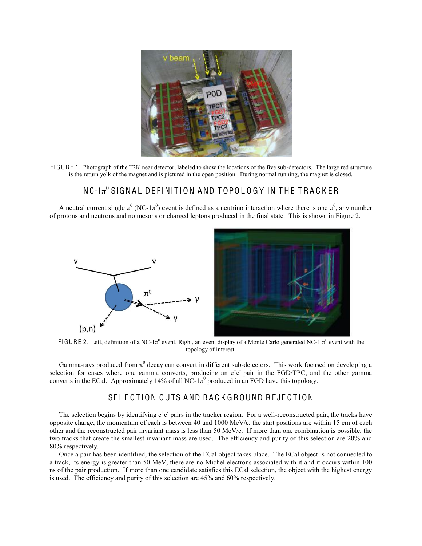

F IGURE 1. Photograph of the T2K near detector, labeled to show the locations of the five sub-detectors. The large red structure is the return yolk of the magnet and is pictured in the open position. During normal running, the magnet is closed.

# NC-1 $\pi^0$  SIGNAL DEFINITION AND TOPOLOGY IN THE TRACKER

A neutral current single  $\pi^0$  (NC-1 $\pi^0$ ) event is defined as a neutrino interaction where there is one  $\pi^0$ , any number of protons and neutrons and no mesons or charged leptons produced in the final state. This is shown in Figure 2.



FIGURE 2. Left, definition of a NC-1 $\pi^0$  event. Right, an event display of a Monte Carlo generated NC-1  $\pi^0$  event with the topology of interest.

Gamma-rays produced from  $\pi^0$  decay can convert in different sub-detectors. This work focused on developing a selection for cases where one gamma converts, producing an  $e^+e^-$  pair in the FGD/TPC, and the other gamma converts in the ECal. Approximately 14% of all NC-1 $\pi^0$  produced in an FGD have this topology.

# SELECTION CUTS AND BACKGROUND REJECTION

The selection begins by identifying  $e^+e^-$  pairs in the tracker region. For a well-reconstructed pair, the tracks have opposite charge, the momentum of each is between 40 and 1000 MeV/c, the start positions are within 15 cm of each other and the reconstructed pair invariant mass is less than 50 MeV/c. If more than one combination is possible, the two tracks that create the smallest invariant mass are used. The efficiency and purity of this selection are 20% and 80% respectively.

Once a pair has been identified, the selection of the ECal object takes place. The ECal object is not connected to a track, its energy is greater than 50 MeV, there are no Michel electrons associated with it and it occurs within 100 ns of the pair production. If more than one candidate satisfies this ECal selection, the object with the highest energy is used. The efficiency and purity of this selection are 45% and 60% respectively.